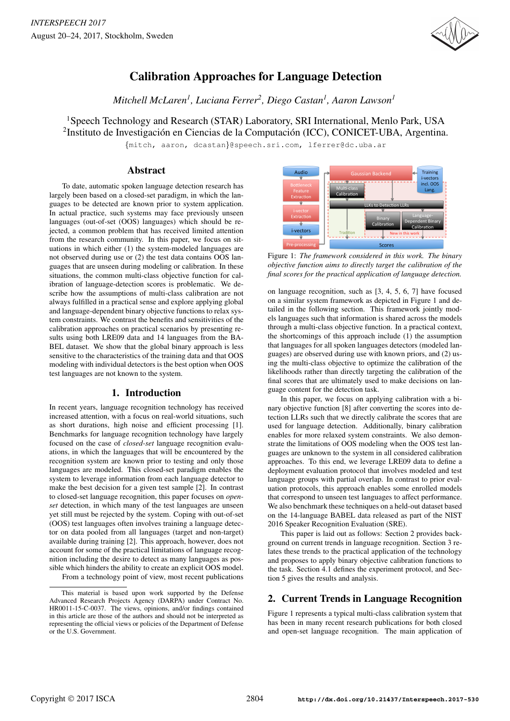

# Calibration Approaches for Language Detection

*Mitchell McLaren<sup>1</sup> , Luciana Ferrer<sup>2</sup> , Diego Castan<sup>1</sup> , Aaron Lawson<sup>1</sup>*

<sup>1</sup>Speech Technology and Research (STAR) Laboratory, SRI International, Menlo Park, USA

<sup>2</sup>Instituto de Investigación en Ciencias de la Computación (ICC), CONICET-UBA, Argentina.

{mitch, aaron, dcastan}@speech.sri.com, lferrer@dc.uba.ar

# Abstract

To date, automatic spoken language detection research has largely been based on a closed-set paradigm, in which the languages to be detected are known prior to system application. In actual practice, such systems may face previously unseen languages (out-of-set (OOS) languages) which should be rejected, a common problem that has received limited attention from the research community. In this paper, we focus on situations in which either (1) the system-modeled languages are not observed during use or (2) the test data contains OOS languages that are unseen during modeling or calibration. In these situations, the common multi-class objective function for calibration of language-detection scores is problematic. We describe how the assumptions of multi-class calibration are not always fulfilled in a practical sense and explore applying global and language-dependent binary objective functions to relax system constraints. We contrast the benefits and sensitivities of the calibration approaches on practical scenarios by presenting results using both LRE09 data and 14 languages from the BA-BEL dataset. We show that the global binary approach is less sensitive to the characteristics of the training data and that OOS modeling with individual detectors is the best option when OOS test languages are not known to the system.

# 1. Introduction

In recent years, language recognition technology has received increased attention, with a focus on real-world situations, such as short durations, high noise and efficient processing [1]. Benchmarks for language recognition technology have largely focused on the case of *closed-set* language recognition evaluations, in which the languages that will be encountered by the recognition system are known prior to testing and only those languages are modeled. This closed-set paradigm enables the system to leverage information from each language detector to make the best decision for a given test sample [2]. In contrast to closed-set language recognition, this paper focuses on *openset* detection, in which many of the test languages are unseen yet still must be rejected by the system. Coping with out-of-set (OOS) test languages often involves training a language detector on data pooled from all languages (target and non-target) available during training [2]. This approach, however, does not account for some of the practical limitations of language recognition including the desire to detect as many languages as possible which hinders the ability to create an explicit OOS model. From a technology point of view, most recent publications



Figure 1: *The framework considered in this work. The binary objective function aims to directly target the calibration of the final scores for the practical application of language detection.*

on language recognition, such as [3, 4, 5, 6, 7] have focused on a similar system framework as depicted in Figure 1 and detailed in the following section. This framework jointly models languages such that information is shared across the models through a multi-class objective function. In a practical context, the shortcomings of this approach include (1) the assumption that languages for all spoken languages detectors (modeled languages) are observed during use with known priors, and (2) using the multi-class objective to optimize the calibration of the likelihoods rather than directly targeting the calibration of the final scores that are ultimately used to make decisions on language content for the detection task.

In this paper, we focus on applying calibration with a binary objective function [8] after converting the scores into detection LLRs such that we directly calibrate the scores that are used for language detection. Additionally, binary calibration enables for more relaxed system constraints. We also demonstrate the limitations of OOS modeling when the OOS test languages are unknown to the system in all considered calibration approaches. To this end, we leverage LRE09 data to define a deployment evaluation protocol that involves modeled and test language groups with partial overlap. In contrast to prior evaluation protocols, this approach enables some enrolled models that correspond to unseen test languages to affect performance. We also benchmark these techniques on a held-out dataset based on the 14-language BABEL data released as part of the NIST 2016 Speaker Recognition Evaluation (SRE).

This paper is laid out as follows: Section 2 provides background on current trends in language recognition. Section 3 relates these trends to the practical application of the technology and proposes to apply binary objective calibration functions to the task. Section 4.1 defines the experiment protocol, and Section 5 gives the results and analysis.

# 2. Current Trends in Language Recognition

Figure 1 represents a typical multi-class calibration system that has been in many recent research publications for both closed and open-set language recognition. The main application of

This material is based upon work supported by the Defense Advanced Research Projects Agency (DARPA) under Contract No. HR0011-15-C-0037. The views, opinions, and/or findings contained in this article are those of the authors and should not be interpreted as representing the official views or policies of the Department of Defense or the U.S. Government.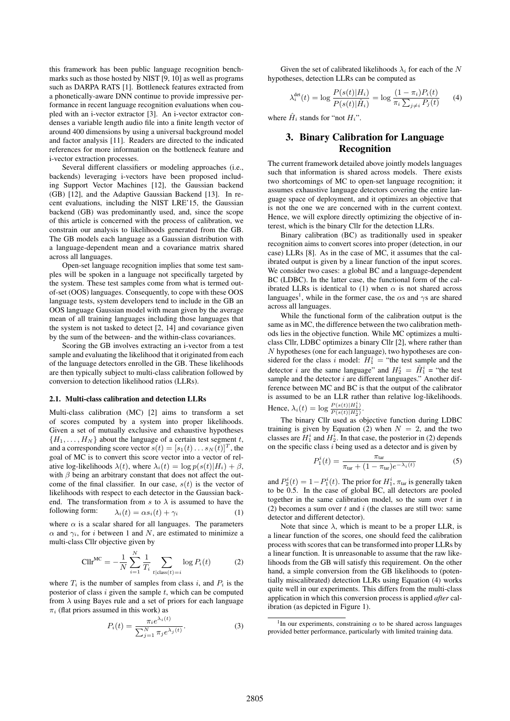this framework has been public language recognition benchmarks such as those hosted by NIST [9, 10] as well as programs such as DARPA RATS [1]. Bottleneck features extracted from a phonetically-aware DNN continue to provide impressive performance in recent language recognition evaluations when coupled with an i-vector extractor [3]. An i-vector extractor condenses a variable length audio file into a finite length vector of around 400 dimensions by using a universal background model and factor analysis [11]. Readers are directed to the indicated references for more information on the bottleneck feature and i-vector extraction processes.

Several different classifiers or modeling approaches (i.e., backends) leveraging i-vectors have been proposed including Support Vector Machines [12], the Gaussian backend (GB) [12], and the Adaptive Gaussian Backend [13]. In recent evaluations, including the NIST LRE'15, the Gaussian backend (GB) was predominantly used, and, since the scope of this article is concerned with the process of calibration, we constrain our analysis to likelihoods generated from the GB. The GB models each language as a Gaussian distribution with a language-dependent mean and a covariance matrix shared across all languages.

Open-set language recognition implies that some test samples will be spoken in a language not specifically targeted by the system. These test samples come from what is termed outof-set (OOS) languages. Consequently, to cope with these OOS language tests, system developers tend to include in the GB an OOS language Gaussian model with mean given by the average mean of all training languages including those languages that the system is not tasked to detect [2, 14] and covariance given by the sum of the between- and the within-class covariances.

Scoring the GB involves extracting an i-vector from a test sample and evaluating the likelihood that it originated from each of the language detectors enrolled in the GB. These likelihoods are then typically subject to multi-class calibration followed by conversion to detection likelihood ratios (LLRs).

#### 2.1. Multi-class calibration and detection LLRs

Multi-class calibration (MC) [2] aims to transform a set of scores computed by a system into proper likelihoods. Given a set of mutually exclusive and exhaustive hypotheses  ${H_1, \ldots, H_N}$  about the language of a certain test segment t, and a corresponding score vector  $s(t) = [s_1(t) \dots s_N(t)]^T$ , the goal of MC is to convert this score vector into a vector of relative log-likelihoods  $\lambda(t)$ , where  $\lambda_i(t) = \log p(s(t)|H_i) + \beta$ , with  $\beta$  being an arbitrary constant that does not affect the outcome of the final classifier. In our case,  $s(t)$  is the vector of likelihoods with respect to each detector in the Gaussian backend. The transformation from s to  $\lambda$  is assumed to have the following form:  $\lambda_i(t) = \alpha s_i(t) + \gamma_i$ 

where  $\alpha$  is a scalar shared for all languages. The parameters  $\alpha$  and  $\gamma_i$ , for i between 1 and N, are estimated to minimize a multi-class Cllr objective given by

$$
CIIr^{MC} = -\frac{1}{N} \sum_{i=1}^{N} \frac{1}{T_i} \sum_{t | \text{class}(t) = i} \log P_i(t)
$$
 (2)

where  $T_i$  is the number of samples from class i, and  $P_i$  is the posterior of class  $i$  given the sample  $t$ , which can be computed from  $\lambda$  using Bayes rule and a set of priors for each language  $\pi_i$  (flat priors assumed in this work) as

$$
P_i(t) = \frac{\pi_i e^{\lambda_i(t)}}{\sum_{j=1}^N \pi_j e^{\lambda_j(t)}}.
$$
\n(3)

Given the set of calibrated likelihoods  $\lambda_i$  for each of the N hypotheses, detection LLRs can be computed as

$$
\lambda_i^{\text{det}}(t) = \log \frac{P(s(t)|H_i)}{P(s(t)|\hat{H}_i)} = \log \frac{(1 - \pi_i)P_i(t)}{\pi_i \sum_{j \neq i} P_j(t)} \tag{4}
$$

where  $\hat{H}_i$  stands for "not  $H_i$ ".

# 3. Binary Calibration for Language Recognition

The current framework detailed above jointly models languages such that information is shared across models. There exists two shortcomings of MC to open-set language recognition; it assumes exhaustive language detectors covering the entire language space of deployment, and it optimizes an objective that is not the one we are concerned with in the current context. Hence, we will explore directly optimizing the objective of interest, which is the binary Cllr for the detection LLRs.

Binary calibration (BC) as traditionally used in speaker recognition aims to convert scores into proper (detection, in our case) LLRs [8]. As in the case of MC, it assumes that the calibrated output is given by a linear function of the input scores. We consider two cases: a global BC and a language-dependent BC (LDBC). In the latter case, the functional form of the calibrated LLRs is identical to (1) when  $\alpha$  is not shared across languages<sup>1</sup>, while in the former case, the  $\alpha$ s and  $\gamma$ s are shared across all languages.

While the functional form of the calibration output is the same as in MC, the difference between the two calibration methods lies in the objective function. While MC optimizes a multiclass Cllr, LDBC optimizes a binary Cllr [2], where rather than N hypotheses (one for each language), two hypotheses are considered for the class i model:  $H_1^i$  = "the test sample and the detector *i* are the same language" and  $H_2^i = \hat{H}_1^i$  = "the test sample and the detector  $i$  are different languages." Another difference between MC and BC is that the output of the calibrator is assumed to be an LLR rather than relative log-likelihoods. Hence,  $\lambda_i(t) = \log \frac{P(s(t)|H_1^i)}{P(s(t)|H_2^i)}$ .

The binary Cllr used as objective function during LDBC training is given by Equation (2) when  $N = 2$ , and the two classes are  $H_1^i$  and  $H_2^i$ . In that case, the posterior in (2) depends on the specific class  $i$  being used as a detector and is given by

$$
P_1^i(t) = \frac{\pi_{\text{tar}}}{\pi_{\text{tar}} + (1 - \pi_{\text{tar}})e^{-\lambda_i(t)}}
$$
(5)

and  $P_2^i(t) = 1 - P_1^i(t)$ . The prior for  $H_1^i$ ,  $\pi_{\text{tar}}$  is generally taken to be 0.5. In the case of global BC, all detectors are pooled together in the same calibration model, so the sum over  $t$  in (2) becomes a sum over  $t$  and  $i$  (the classes are still two: same detector and different detector).

Note that since  $\lambda$ , which is meant to be a proper LLR, is a linear function of the scores, one should feed the calibration process with scores that can be transformed into proper LLRs by a linear function. It is unreasonable to assume that the raw likelihoods from the GB will satisfy this requirement. On the other hand, a simple conversion from the GB likelihoods to (potentially miscalibrated) detection LLRs using Equation (4) works quite well in our experiments. This differs from the multi-class application in which this conversion process is applied *after* calibration (as depicted in Figure 1).

<sup>&</sup>lt;sup>1</sup>In our experiments, constraining  $\alpha$  to be shared across languages provided better performance, particularly with limited training data.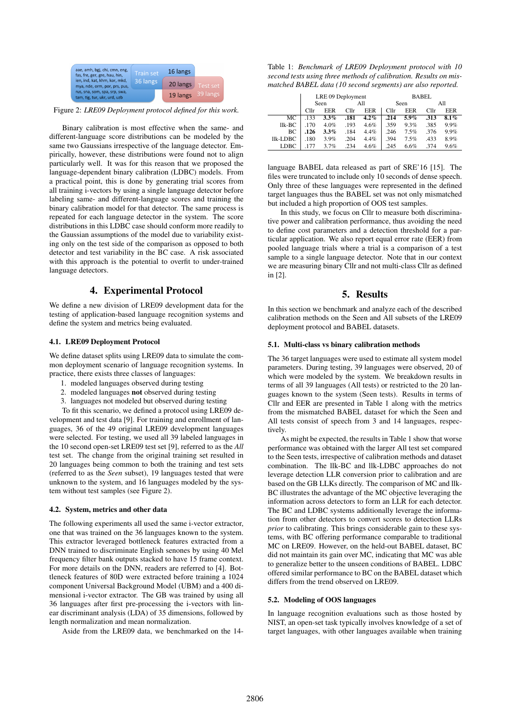| aae, amh, bgj, chi, cmn, eng,<br>fas, fre, ger, gre, hau, hin, | <b>Train set</b> | 16 langs          |          |
|----------------------------------------------------------------|------------------|-------------------|----------|
| ien, ind, kat, khm, kor, mkd,<br>mya, nde, orm, por, prs, pus, | 36 langs         | 20 langs          | Test set |
| rus, sna, som, spa, srp, swa,<br>tam, tig, tur, ukr, urd, uzb  |                  | 19 langs 39 langs |          |

Figure 2: *LRE09 Deployment protocol defined for this work.*

Binary calibration is most effective when the same- and different-language score distributions can be modeled by the same two Gaussians irrespective of the language detector. Empirically, however, these distributions were found not to align particularly well. It was for this reason that we proposed the language-dependent binary calibration (LDBC) models. From a practical point, this is done by generating trial scores from all training i-vectors by using a single language detector before labeling same- and different-language scores and training the binary calibration model for that detector. The same process is repeated for each language detector in the system. The score distributions in this LDBC case should conform more readily to the Gaussian assumptions of the model due to variability existing only on the test side of the comparison as opposed to both detector and test variability in the BC case. A risk associated with this approach is the potential to overfit to under-trained language detectors.

#### 4. Experimental Protocol

We define a new division of LRE09 development data for the testing of application-based language recognition systems and define the system and metrics being evaluated.

#### 4.1. LRE09 Deployment Protocol

We define dataset splits using LRE09 data to simulate the common deployment scenario of language recognition systems. In practice, there exists three classes of languages:

- 1. modeled languages observed during testing
- 2. modeled languages not observed during testing
- 3. languages not modeled but observed during testing

To fit this scenario, we defined a protocol using LRE09 development and test data [9]. For training and enrollment of languages, 36 of the 49 original LRE09 development languages were selected. For testing, we used all 39 labeled languages in the 10 second open-set LRE09 test set [9], referred to as the *All* test set. The change from the original training set resulted in 20 languages being common to both the training and test sets (referred to as the *Seen* subset), 19 languages tested that were unknown to the system, and 16 languages modeled by the system without test samples (see Figure 2).

#### 4.2. System, metrics and other data

The following experiments all used the same i-vector extractor, one that was trained on the 36 languages known to the system. This extractor leveraged bottleneck features extracted from a DNN trained to discriminate English senones by using 40 Mel frequency filter bank outputs stacked to have 15 frame context. For more details on the DNN, readers are referred to [4]. Bottleneck features of 80D were extracted before training a 1024 component Universal Background Model (UBM) and a 400 dimensional i-vector extractor. The GB was trained by using all 36 languages after first pre-processing the i-vectors with linear discriminant analysis (LDA) of 35 dimensions, followed by length normalization and mean normalization.

Aside from the LRE09 data, we benchmarked on the 14-

Table 1: *Benchmark of LRE09 Deployment protocol with 10 second tests using three methods of calibration. Results on mismatched BABEL data (10 second segments) are also reported.*

|          | LRE 09 Deployment |         |      | <b>BABEL</b> |                  |            |      |            |
|----------|-------------------|---------|------|--------------|------------------|------------|------|------------|
|          | Seen              |         | All  |              | Seen             |            | All  |            |
|          | Cl1r              | EER     | Cllr | <b>EER</b>   | Cl <sub>lr</sub> | <b>EER</b> | Cllr | <b>EER</b> |
| МC       | .133              | $3.3\%$ | .181 | $4.2\%$      | .214             | $5.9\%$    | .313 | 8.1%       |
| llk-BC   | .170              | 4.0%    | .193 | 4.6%         | .359             | 9.3%       | .385 | 9.9%       |
| BС       | .126              | $3.3\%$ | .184 | 4.4%         | .246             | 7.5%       | .376 | 9.9%       |
| llk-LDBC | .180              | 3.9%    | .204 | 4.4%         | .394             | 7.5%       | .433 | 8.9%       |
| LDBC     | .177              | 3.7%    | .234 | 4.6%         | .245             | 6.6%       | .374 | 9.6%       |

language BABEL data released as part of SRE'16 [15]. The files were truncated to include only 10 seconds of dense speech. Only three of these languages were represented in the defined target languages thus the BABEL set was not only mismatched but included a high proportion of OOS test samples.

In this study, we focus on Cllr to measure both discriminative power and calibration performance, thus avoiding the need to define cost parameters and a detection threshold for a particular application. We also report equal error rate (EER) from pooled language trials where a trial is a comparison of a test sample to a single language detector. Note that in our context we are measuring binary Cllr and not multi-class Cllr as defined in [2].

### 5. Results

In this section we benchmark and analyze each of the described calibration methods on the Seen and All subsets of the LRE09 deployment protocol and BABEL datasets.

#### 5.1. Multi-class vs binary calibration methods

The 36 target languages were used to estimate all system model parameters. During testing, 39 languages were observed, 20 of which were modeled by the system. We breakdown results in terms of all 39 languages (All tests) or restricted to the 20 languages known to the system (Seen tests). Results in terms of Cllr and EER are presented in Table 1 along with the metrics from the mismatched BABEL dataset for which the Seen and All tests consist of speech from 3 and 14 languages, respectively.

As might be expected, the results in Table 1 show that worse performance was obtained with the larger All test set compared to the Seen tests, irrespective of calibration methods and dataset combination. The llk-BC and llk-LDBC approaches do not leverage detection LLR conversion prior to calibration and are based on the GB LLKs directly. The comparison of MC and llk-BC illustrates the advantage of the MC objective leveraging the information across detectors to form an LLR for each detector. The BC and LDBC systems additionally leverage the information from other detectors to convert scores to detection LLRs *prior* to calibrating. This brings considerable gain to these systems, with BC offering performance comparable to traditional MC on LRE09. However, on the held-out BABEL dataset, BC did not maintain its gain over MC, indicating that MC was able to generalize better to the unseen conditions of BABEL. LDBC offered similar performance to BC on the BABEL dataset which differs from the trend observed on LRE09.

#### 5.2. Modeling of OOS languages

In language recognition evaluations such as those hosted by NIST, an open-set task typically involves knowledge of a set of target languages, with other languages available when training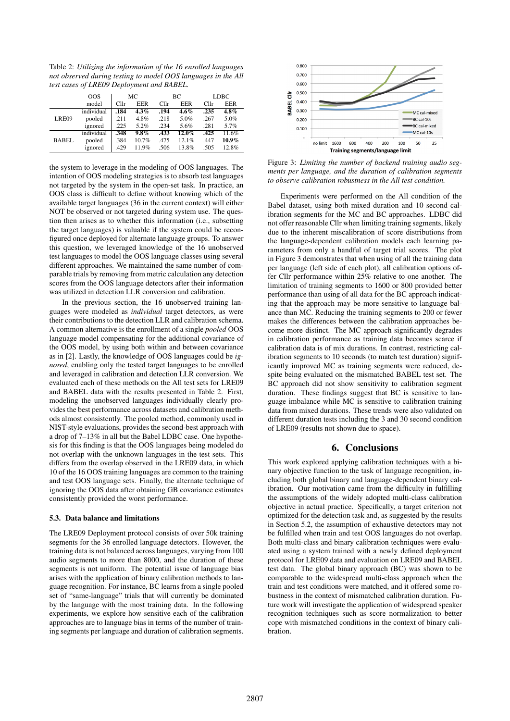Table 2: *Utilizing the information of the 16 enrolled languages not observed during testing to model OOS languages in the All test cases of LRE09 Deployment and BABEL.*

|              | <b>OOS</b> | МC               |         | BС   |          | <b>LDBC</b> |          |
|--------------|------------|------------------|---------|------|----------|-------------|----------|
|              | model      | Cl <sub>lr</sub> | EER     | Cllr | EER      | Cllr        | EER      |
| LRE09        | individual | .184             | $4.3\%$ | .194 | 4.6%     | .235        | 4.8%     |
|              | pooled     | .211             | 4.8%    | .218 | 5.0%     | .267        | 5.0%     |
|              | ignored    | .225             | 5.2%    | .234 | 5.6%     | .281        | 5.7%     |
| <b>BABEL</b> | individual | .348             | $9.8\%$ | .433 | $12.0\%$ | .425        | 11.6%    |
|              | pooled     | .384             | 10.7%   | .475 | 12.1%    | .447        | $10.9\%$ |
|              | ignored    | .429             | 11.9%   | .506 | 13.8%    | .505        | 12.8%    |

the system to leverage in the modeling of OOS languages. The intention of OOS modeling strategies is to absorb test languages not targeted by the system in the open-set task. In practice, an OOS class is difficult to define without knowing which of the available target languages (36 in the current context) will either NOT be observed or not targeted during system use. The question then arises as to whether this information (i.e., subsetting the target languages) is valuable if the system could be reconfigured once deployed for alternate language groups. To answer this question, we leveraged knowledge of the 16 unobserved test languages to model the OOS language classes using several different approaches. We maintained the same number of comparable trials by removing from metric calculation any detection scores from the OOS language detectors after their information was utilized in detection LLR conversion and calibration.

In the previous section, the 16 unobserved training languages were modeled as *individual* target detectors, as were their contributions to the detection LLR and calibration schema. A common alternative is the enrollment of a single *pooled* OOS language model compensating for the additional covariance of the OOS model, by using both within and between covariance as in [2]. Lastly, the knowledge of OOS languages could be *ignored*, enabling only the tested target languages to be enrolled and leveraged in calibration and detection LLR conversion. We evaluated each of these methods on the All test sets for LRE09 and BABEL data with the results presented in Table 2. First, modeling the unobserved languages individually clearly provides the best performance across datasets and calibration methods almost consistently. The pooled method, commonly used in NIST-style evaluations, provides the second-best approach with a drop of 7–13% in all but the Babel LDBC case. One hypothesis for this finding is that the OOS languages being modeled do not overlap with the unknown languages in the test sets. This differs from the overlap observed in the LRE09 data, in which 10 of the 16 OOS training languages are common to the training and test OOS language sets. Finally, the alternate technique of ignoring the OOS data after obtaining GB covariance estimates consistently provided the worst performance.

#### 5.3. Data balance and limitations

The LRE09 Deployment protocol consists of over 50k training segments for the 36 enrolled language detectors. However, the training data is not balanced across languages, varying from 100 audio segments to more than 8000, and the duration of these segments is not uniform. The potential issue of language bias arises with the application of binary calibration methods to language recognition. For instance, BC learns from a single pooled set of "same-language" trials that will currently be dominated by the language with the most training data. In the following experiments, we explore how sensitive each of the calibration approaches are to language bias in terms of the number of training segments per language and duration of calibration segments.



Figure 3: *Limiting the number of backend training audio segments per language, and the duration of calibration segments to observe calibration robustness in the All test condition.*

Experiments were performed on the All condition of the Babel dataset, using both mixed duration and 10 second calibration segments for the MC and BC approaches. LDBC did not offer reasonable Cllr when limiting training segments, likely due to the inherent miscalibration of score distributions from the language-dependent calibration models each learning parameters from only a handful of target trial scores. The plot in Figure 3 demonstrates that when using of all the training data per language (left side of each plot), all calibration options offer Cllr performance within 25% relative to one another. The limitation of training segments to 1600 or 800 provided better performance than using of all data for the BC approach indicating that the approach may be more sensitive to language balance than MC. Reducing the training segments to 200 or fewer makes the differences between the calibration approaches become more distinct. The MC approach significantly degrades in calibration performance as training data becomes scarce if calibration data is of mix durations. In contrast, restricting calibration segments to 10 seconds (to match test duration) significantly improved MC as training segments were reduced, despite being evaluated on the mismatched BABEL test set. The BC approach did not show sensitivity to calibration segment duration. These findings suggest that BC is sensitive to language imbalance while MC is sensitive to calibration training data from mixed durations. These trends were also validated on different duration tests including the 3 and 30 second condition of LRE09 (results not shown due to space).

# 6. Conclusions

This work explored applying calibration techniques with a binary objective function to the task of language recognition, including both global binary and language-dependent binary calibration. Our motivation came from the difficulty in fulfilling the assumptions of the widely adopted multi-class calibration objective in actual practice. Specifically, a target criterion not optimized for the detection task and, as suggested by the results in Section 5.2, the assumption of exhaustive detectors may not be fulfilled when train and test OOS languages do not overlap. Both multi-class and binary calibration techniques were evaluated using a system trained with a newly defined deployment protocol for LRE09 data and evaluation on LRE09 and BABEL test data. The global binary approach (BC) was shown to be comparable to the widespread multi-class approach when the train and test conditions were matched, and it offered some robustness in the context of mismatched calibration duration. Future work will investigate the application of widespread speaker recognition techniques such as score normalization to better cope with mismatched conditions in the context of binary calibration.